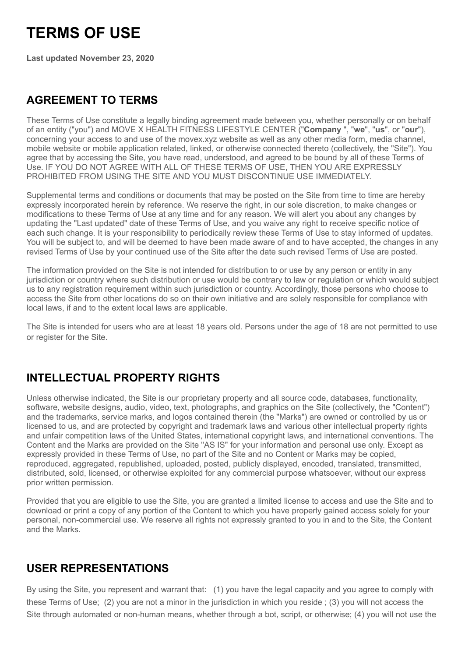# **TERMS OF USE**

**Last updated November 23, 2020**

### **AGREEMENT TO TERMS**

These Terms of Use constitute a legally binding agreement made between you, whether personally or on behalf of an entity ("you") and MOVE X HEALTH FITNESS LIFESTYLE CENTER ("**Company** ", "**we**", "**us**", or "**our**"), concerning your access to and use of the movex.xyz website as well as any other media form, media channel, mobile website or mobile application related, linked, or otherwise connected thereto (collectively, the "Site"). You agree that by accessing the Site, you have read, understood, and agreed to be bound by all of these Terms of Use. IF YOU DO NOT AGREE WITH ALL OF THESE TERMS OF USE, THEN YOU ARE EXPRESSLY PROHIBITED FROM USING THE SITE AND YOU MUST DISCONTINUE USE IMMEDIATELY.

Supplemental terms and conditions or documents that may be posted on the Site from time to time are hereby expressly incorporated herein by reference. We reserve the right, in our sole discretion, to make changes or modifications to these Terms of Use at any time and for any reason. We will alert you about any changes by updating the "Last updated" date of these Terms of Use, and you waive any right to receive specific notice of each such change. It is your responsibility to periodically review these Terms of Use to stay informed of updates. You will be subject to, and will be deemed to have been made aware of and to have accepted, the changes in any revised Terms of Use by your continued use of the Site after the date such revised Terms of Use are posted.

The information provided on the Site is not intended for distribution to or use by any person or entity in any jurisdiction or country where such distribution or use would be contrary to law or regulation or which would subject us to any registration requirement within such jurisdiction or country. Accordingly, those persons who choose to access the Site from other locations do so on their own initiative and are solely responsible for compliance with local laws, if and to the extent local laws are applicable.

The Site is intended for users who are at least 18 years old. Persons under the age of 18 are not permitted to use or register for the Site.

# **INTELLECTUAL PROPERTY RIGHTS**

Unless otherwise indicated, the Site is our proprietary property and all source code, databases, functionality, software, website designs, audio, video, text, photographs, and graphics on the Site (collectively, the "Content") and the trademarks, service marks, and logos contained therein (the "Marks") are owned or controlled by us or licensed to us, and are protected by copyright and trademark laws and various other intellectual property rights and unfair competition laws of the United States, international copyright laws, and international conventions. The Content and the Marks are provided on the Site "AS IS" for your information and personal use only. Except as expressly provided in these Terms of Use, no part of the Site and no Content or Marks may be copied, reproduced, aggregated, republished, uploaded, posted, publicly displayed, encoded, translated, transmitted, distributed, sold, licensed, or otherwise exploited for any commercial purpose whatsoever, without our express prior written permission.

Provided that you are eligible to use the Site, you are granted a limited license to access and use the Site and to download or print a copy of any portion of the Content to which you have properly gained access solely for your personal, non-commercial use. We reserve all rights not expressly granted to you in and to the Site, the Content and the Marks.

#### **USER REPRESENTATIONS**

By using the Site, you represent and warrant that: (1) you have the legal capacity and you agree to comply with these Terms of Use; (2) you are not a minor in the jurisdiction in which you reside ; (3) you will not access the Site through automated or non-human means, whether through a bot, script, or otherwise; (4) you will not use the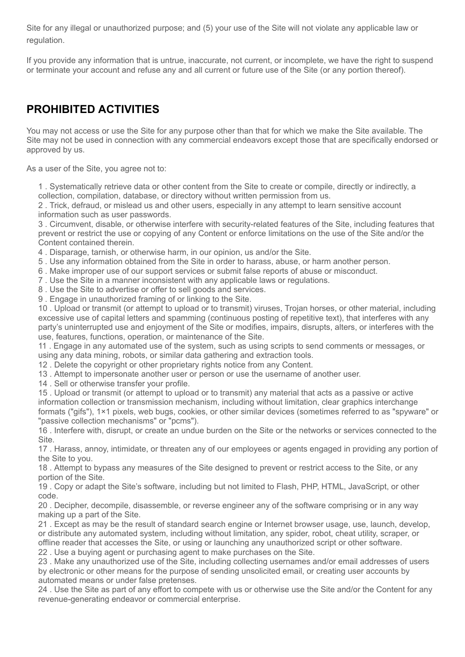Site for any illegal or unauthorized purpose; and (5) your use of the Site will not violate any applicable law or regulation.

If you provide any information that is untrue, inaccurate, not current, or incomplete, we have the right to suspend or terminate your account and refuse any and all current or future use of the Site (or any portion thereof).

# **PROHIBITED ACTIVITIES**

You may not access or use the Site for any purpose other than that for which we make the Site available. The Site may not be used in connection with any commercial endeavors except those that are specifically endorsed or approved by us.

As a user of the Site, you agree not to:

1 . Systematically retrieve data or other content from the Site to create or compile, directly or indirectly, a collection, compilation, database, or directory without written permission from us.

2 . Trick, defraud, or mislead us and other users, especially in any attempt to learn sensitive account information such as user passwords.

3 . Circumvent, disable, or otherwise interfere with security-related features of the Site, including features that prevent or restrict the use or copying of any Content or enforce limitations on the use of the Site and/or the Content contained therein.

4 . Disparage, tarnish, or otherwise harm, in our opinion, us and/or the Site.

5 . Use any information obtained from the Site in order to harass, abuse, or harm another person.

6 . Make improper use of our support services or submit false reports of abuse or misconduct.

7 . Use the Site in a manner inconsistent with any applicable laws or regulations.

8 . Use the Site to advertise or offer to sell goods and services.

9 . Engage in unauthorized framing of or linking to the Site.

10 . Upload or transmit (or attempt to upload or to transmit) viruses, Trojan horses, or other material, including excessive use of capital letters and spamming (continuous posting of repetitive text), that interferes with any party's uninterrupted use and enjoyment of the Site or modifies, impairs, disrupts, alters, or interferes with the use, features, functions, operation, or maintenance of the Site.

11 . Engage in any automated use of the system, such as using scripts to send comments or messages, or using any data mining, robots, or similar data gathering and extraction tools.

12 . Delete the copyright or other proprietary rights notice from any Content.

13 . Attempt to impersonate another user or person or use the username of another user.

14 . Sell or otherwise transfer your profile.

15 . Upload or transmit (or attempt to upload or to transmit) any material that acts as a passive or active information collection or transmission mechanism, including without limitation, clear graphics interchange formats ("gifs"), 1×1 pixels, web bugs, cookies, or other similar devices (sometimes referred to as "spyware" or "passive collection mechanisms" or "pcms").

16 . Interfere with, disrupt, or create an undue burden on the Site or the networks or services connected to the Site.

17 . Harass, annoy, intimidate, or threaten any of our employees or agents engaged in providing any portion of the Site to you.

18 . Attempt to bypass any measures of the Site designed to prevent or restrict access to the Site, or any portion of the Site.

19 . Copy or adapt the Site's software, including but not limited to Flash, PHP, HTML, JavaScript, or other code.

20 . Decipher, decompile, disassemble, or reverse engineer any of the software comprising or in any way making up a part of the Site.

21 . Except as may be the result of standard search engine or Internet browser usage, use, launch, develop, or distribute any automated system, including without limitation, any spider, robot, cheat utility, scraper, or offline reader that accesses the Site, or using or launching any unauthorized script or other software.

22 . Use a buying agent or purchasing agent to make purchases on the Site.

23 . Make any unauthorized use of the Site, including collecting usernames and/or email addresses of users by electronic or other means for the purpose of sending unsolicited email, or creating user accounts by automated means or under false pretenses.

24 . Use the Site as part of any effort to compete with us or otherwise use the Site and/or the Content for any revenue-generating endeavor or commercial enterprise.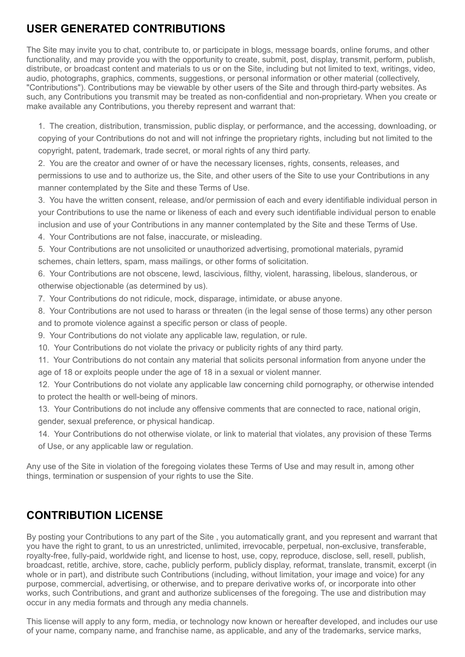# **USER GENERATED CONTRIBUTIONS**

The Site may invite you to chat, contribute to, or participate in blogs, message boards, online forums, and other functionality, and may provide you with the opportunity to create, submit, post, display, transmit, perform, publish, distribute, or broadcast content and materials to us or on the Site, including but not limited to text, writings, video, audio, photographs, graphics, comments, suggestions, or personal information or other material (collectively, "Contributions"). Contributions may be viewable by other users of the Site and through third-party websites. As such, any Contributions you transmit may be treated as non-confidential and non-proprietary. When you create or make available any Contributions, you thereby represent and warrant that:

1. The creation, distribution, transmission, public display, or performance, and the accessing, downloading, or copying of your Contributions do not and will not infringe the proprietary rights, including but not limited to the copyright, patent, trademark, trade secret, or moral rights of any third party.

2. You are the creator and owner of or have the necessary licenses, rights, consents, releases, and permissions to use and to authorize us, the Site, and other users of the Site to use your Contributions in any manner contemplated by the Site and these Terms of Use.

3. You have the written consent, release, and/or permission of each and every identifiable individual person in your Contributions to use the name or likeness of each and every such identifiable individual person to enable inclusion and use of your Contributions in any manner contemplated by the Site and these Terms of Use.

4. Your Contributions are not false, inaccurate, or misleading.

5. Your Contributions are not unsolicited or unauthorized advertising, promotional materials, pyramid schemes, chain letters, spam, mass mailings, or other forms of solicitation.

6. Your Contributions are not obscene, lewd, lascivious, filthy, violent, harassing, libelous, slanderous, or otherwise objectionable (as determined by us).

7. Your Contributions do not ridicule, mock, disparage, intimidate, or abuse anyone.

8. Your Contributions are not used to harass or threaten (in the legal sense of those terms) any other person and to promote violence against a specific person or class of people.

9. Your Contributions do not violate any applicable law, regulation, or rule.

10. Your Contributions do not violate the privacy or publicity rights of any third party.

11. Your Contributions do not contain any material that solicits personal information from anyone under the age of 18 or exploits people under the age of 18 in a sexual or violent manner.

12. Your Contributions do not violate any applicable law concerning child pornography, or otherwise intended to protect the health or well-being of minors.

13. Your Contributions do not include any offensive comments that are connected to race, national origin, gender, sexual preference, or physical handicap.

14. Your Contributions do not otherwise violate, or link to material that violates, any provision of these Terms of Use, or any applicable law or regulation.

Any use of the Site in violation of the foregoing violates these Terms of Use and may result in, among other things, termination or suspension of your rights to use the Site.

## **CONTRIBUTION LICENSE**

By posting your Contributions to any part of the Site , you automatically grant, and you represent and warrant that you have the right to grant, to us an unrestricted, unlimited, irrevocable, perpetual, non-exclusive, transferable, royalty-free, fully-paid, worldwide right, and license to host, use, copy, reproduce, disclose, sell, resell, publish, broadcast, retitle, archive, store, cache, publicly perform, publicly display, reformat, translate, transmit, excerpt (in whole or in part), and distribute such Contributions (including, without limitation, your image and voice) for any purpose, commercial, advertising, or otherwise, and to prepare derivative works of, or incorporate into other works, such Contributions, and grant and authorize sublicenses of the foregoing. The use and distribution may occur in any media formats and through any media channels.

This license will apply to any form, media, or technology now known or hereafter developed, and includes our use of your name, company name, and franchise name, as applicable, and any of the trademarks, service marks,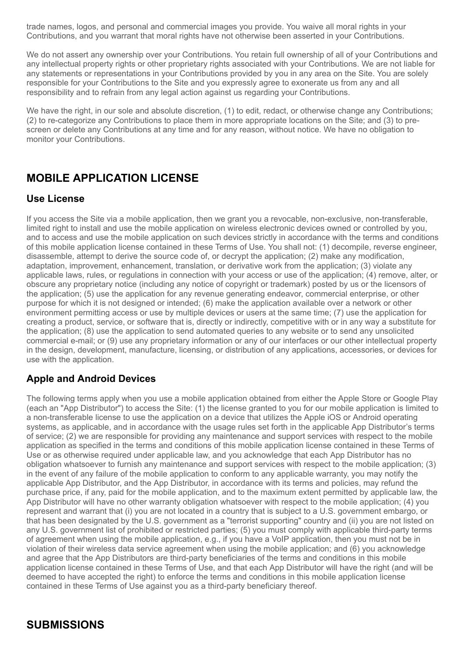trade names, logos, and personal and commercial images you provide. You waive all moral rights in your Contributions, and you warrant that moral rights have not otherwise been asserted in your Contributions.

We do not assert any ownership over your Contributions. You retain full ownership of all of your Contributions and any intellectual property rights or other proprietary rights associated with your Contributions. We are not liable for any statements or representations in your Contributions provided by you in any area on the Site. You are solely responsible for your Contributions to the Site and you expressly agree to exonerate us from any and all responsibility and to refrain from any legal action against us regarding your Contributions.

We have the right, in our sole and absolute discretion, (1) to edit, redact, or otherwise change any Contributions; (2) to re-categorize any Contributions to place them in more appropriate locations on the Site; and (3) to prescreen or delete any Contributions at any time and for any reason, without notice. We have no obligation to monitor your Contributions.

## **MOBILE APPLICATION LICENSE**

#### **Use License**

If you access the Site via a mobile application, then we grant you a revocable, non-exclusive, non-transferable, limited right to install and use the mobile application on wireless electronic devices owned or controlled by you, and to access and use the mobile application on such devices strictly in accordance with the terms and conditions of this mobile application license contained in these Terms of Use. You shall not: (1) decompile, reverse engineer, disassemble, attempt to derive the source code of, or decrypt the application; (2) make any modification, adaptation, improvement, enhancement, translation, or derivative work from the application; (3) violate any applicable laws, rules, or regulations in connection with your access or use of the application; (4) remove, alter, or obscure any proprietary notice (including any notice of copyright or trademark) posted by us or the licensors of the application; (5) use the application for any revenue generating endeavor, commercial enterprise, or other purpose for which it is not designed or intended; (6) make the application available over a network or other environment permitting access or use by multiple devices or users at the same time; (7) use the application for creating a product, service, or software that is, directly or indirectly, competitive with or in any way a substitute for the application; (8) use the application to send automated queries to any website or to send any unsolicited commercial e-mail; or (9) use any proprietary information or any of our interfaces or our other intellectual property in the design, development, manufacture, licensing, or distribution of any applications, accessories, or devices for use with the application.

#### **Apple and Android Devices**

The following terms apply when you use a mobile application obtained from either the Apple Store or Google Play (each an "App Distributor") to access the Site: (1) the license granted to you for our mobile application is limited to a non-transferable license to use the application on a device that utilizes the Apple iOS or Android operating systems, as applicable, and in accordance with the usage rules set forth in the applicable App Distributor's terms of service; (2) we are responsible for providing any maintenance and support services with respect to the mobile application as specified in the terms and conditions of this mobile application license contained in these Terms of Use or as otherwise required under applicable law, and you acknowledge that each App Distributor has no obligation whatsoever to furnish any maintenance and support services with respect to the mobile application; (3) in the event of any failure of the mobile application to conform to any applicable warranty, you may notify the applicable App Distributor, and the App Distributor, in accordance with its terms and policies, may refund the purchase price, if any, paid for the mobile application, and to the maximum extent permitted by applicable law, the App Distributor will have no other warranty obligation whatsoever with respect to the mobile application; (4) you represent and warrant that (i) you are not located in a country that is subject to a U.S. government embargo, or that has been designated by the U.S. government as a "terrorist supporting" country and (ii) you are not listed on any U.S. government list of prohibited or restricted parties; (5) you must comply with applicable third-party terms of agreement when using the mobile application, e.g., if you have a VoIP application, then you must not be in violation of their wireless data service agreement when using the mobile application; and (6) you acknowledge and agree that the App Distributors are third-party beneficiaries of the terms and conditions in this mobile application license contained in these Terms of Use, and that each App Distributor will have the right (and will be deemed to have accepted the right) to enforce the terms and conditions in this mobile application license contained in these Terms of Use against you as a third-party beneficiary thereof.

#### **SUBMISSIONS**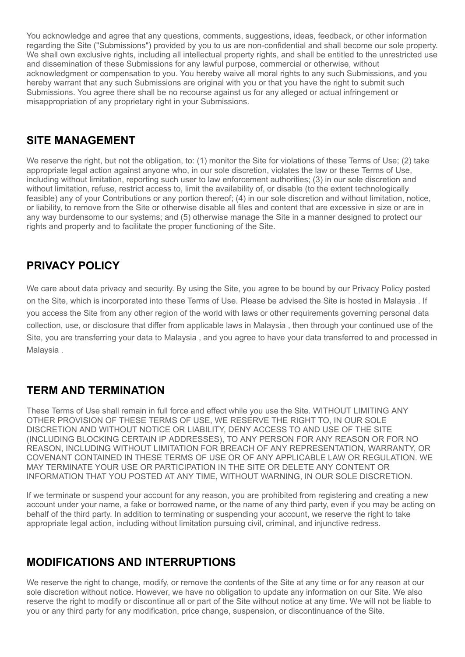You acknowledge and agree that any questions, comments, suggestions, ideas, feedback, or other information regarding the Site ("Submissions") provided by you to us are non-confidential and shall become our sole property. We shall own exclusive rights, including all intellectual property rights, and shall be entitled to the unrestricted use and dissemination of these Submissions for any lawful purpose, commercial or otherwise, without acknowledgment or compensation to you. You hereby waive all moral rights to any such Submissions, and you hereby warrant that any such Submissions are original with you or that you have the right to submit such Submissions. You agree there shall be no recourse against us for any alleged or actual infringement or misappropriation of any proprietary right in your Submissions.

### **SITE MANAGEMENT**

We reserve the right, but not the obligation, to: (1) monitor the Site for violations of these Terms of Use; (2) take appropriate legal action against anyone who, in our sole discretion, violates the law or these Terms of Use, including without limitation, reporting such user to law enforcement authorities; (3) in our sole discretion and without limitation, refuse, restrict access to, limit the availability of, or disable (to the extent technologically feasible) any of your Contributions or any portion thereof; (4) in our sole discretion and without limitation, notice, or liability, to remove from the Site or otherwise disable all files and content that are excessive in size or are in any way burdensome to our systems; and (5) otherwise manage the Site in a manner designed to protect our rights and property and to facilitate the proper functioning of the Site.

## **PRIVACY POLICY**

We care about data privacy and security. By using the Site, you agree to be bound by our Privacy Policy posted on the Site, which is incorporated into these Terms of Use. Please be advised the Site is hosted in Malaysia . If you access the Site from any other region of the world with laws or other requirements governing personal data collection, use, or disclosure that differ from applicable laws in Malaysia , then through your continued use of the Site, you are transferring your data to Malaysia , and you agree to have your data transferred to and processed in Malaysia .

#### **TERM AND TERMINATION**

These Terms of Use shall remain in full force and effect while you use the Site. WITHOUT LIMITING ANY OTHER PROVISION OF THESE TERMS OF USE, WE RESERVE THE RIGHT TO, IN OUR SOLE DISCRETION AND WITHOUT NOTICE OR LIABILITY, DENY ACCESS TO AND USE OF THE SITE (INCLUDING BLOCKING CERTAIN IP ADDRESSES), TO ANY PERSON FOR ANY REASON OR FOR NO REASON, INCLUDING WITHOUT LIMITATION FOR BREACH OF ANY REPRESENTATION, WARRANTY, OR COVENANT CONTAINED IN THESE TERMS OF USE OR OF ANY APPLICABLE LAW OR REGULATION. WE MAY TERMINATE YOUR USE OR PARTICIPATION IN THE SITE OR DELETE ANY CONTENT OR INFORMATION THAT YOU POSTED AT ANY TIME, WITHOUT WARNING, IN OUR SOLE DISCRETION.

If we terminate or suspend your account for any reason, you are prohibited from registering and creating a new account under your name, a fake or borrowed name, or the name of any third party, even if you may be acting on behalf of the third party. In addition to terminating or suspending your account, we reserve the right to take appropriate legal action, including without limitation pursuing civil, criminal, and injunctive redress.

## **MODIFICATIONS AND INTERRUPTIONS**

We reserve the right to change, modify, or remove the contents of the Site at any time or for any reason at our sole discretion without notice. However, we have no obligation to update any information on our Site. We also reserve the right to modify or discontinue all or part of the Site without notice at any time. We will not be liable to you or any third party for any modification, price change, suspension, or discontinuance of the Site.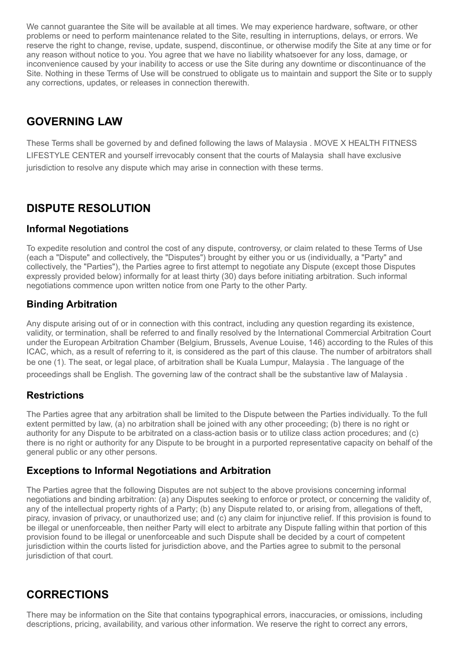We cannot guarantee the Site will be available at all times. We may experience hardware, software, or other problems or need to perform maintenance related to the Site, resulting in interruptions, delays, or errors. We reserve the right to change, revise, update, suspend, discontinue, or otherwise modify the Site at any time or for any reason without notice to you. You agree that we have no liability whatsoever for any loss, damage, or inconvenience caused by your inability to access or use the Site during any downtime or discontinuance of the Site. Nothing in these Terms of Use will be construed to obligate us to maintain and support the Site or to supply any corrections, updates, or releases in connection therewith.

## **GOVERNING LAW**

These Terms shall be governed by and defined following the laws of Malaysia . MOVE X HEALTH FITNESS LIFESTYLE CENTER and yourself irrevocably consent that the courts of Malaysia shall have exclusive jurisdiction to resolve any dispute which may arise in connection with these terms.

# **DISPUTE RESOLUTION**

#### **Informal Negotiations**

To expedite resolution and control the cost of any dispute, controversy, or claim related to these Terms of Use (each a "Dispute" and collectively, the "Disputes") brought by either you or us (individually, a "Party" and collectively, the "Parties"), the Parties agree to first attempt to negotiate any Dispute (except those Disputes expressly provided below) informally for at least thirty (30) days before initiating arbitration. Such informal negotiations commence upon written notice from one Party to the other Party.

#### **Binding Arbitration**

Any dispute arising out of or in connection with this contract, including any question regarding its existence, validity, or termination, shall be referred to and finally resolved by the International Commercial Arbitration Court under the European Arbitration Chamber (Belgium, Brussels, Avenue Louise, 146) according to the Rules of this ICAC, which, as a result of referring to it, is considered as the part of this clause. The number of arbitrators shall be one (1). The seat, or legal place, of arbitration shall be Kuala Lumpur, Malaysia . The language of the proceedings shall be English. The governing law of the contract shall be the substantive law of Malaysia .

#### **Restrictions**

The Parties agree that any arbitration shall be limited to the Dispute between the Parties individually. To the full extent permitted by law, (a) no arbitration shall be joined with any other proceeding; (b) there is no right or authority for any Dispute to be arbitrated on a class-action basis or to utilize class action procedures; and (c) there is no right or authority for any Dispute to be brought in a purported representative capacity on behalf of the general public or any other persons.

#### **Exceptions to Informal Negotiations and Arbitration**

The Parties agree that the following Disputes are not subject to the above provisions concerning informal negotiations and binding arbitration: (a) any Disputes seeking to enforce or protect, or concerning the validity of, any of the intellectual property rights of a Party; (b) any Dispute related to, or arising from, allegations of theft, piracy, invasion of privacy, or unauthorized use; and (c) any claim for injunctive relief. If this provision is found to be illegal or unenforceable, then neither Party will elect to arbitrate any Dispute falling within that portion of this provision found to be illegal or unenforceable and such Dispute shall be decided by a court of competent jurisdiction within the courts listed for jurisdiction above, and the Parties agree to submit to the personal jurisdiction of that court.

# **CORRECTIONS**

There may be information on the Site that contains typographical errors, inaccuracies, or omissions, including descriptions, pricing, availability, and various other information. We reserve the right to correct any errors,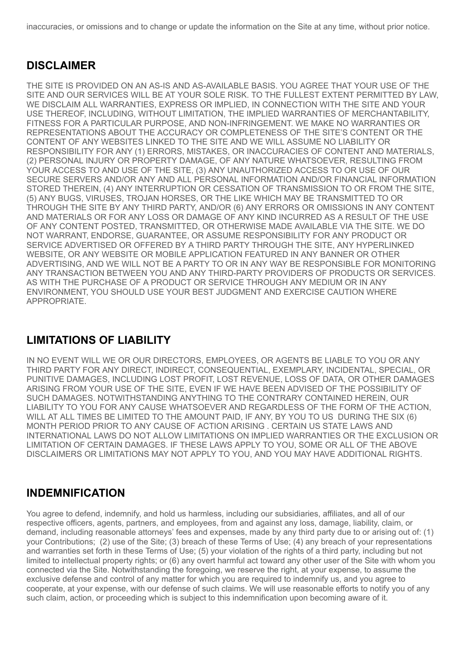inaccuracies, or omissions and to change or update the information on the Site at any time, without prior notice.

# **DISCLAIMER**

THE SITE IS PROVIDED ON AN AS-IS AND AS-AVAILABLE BASIS. YOU AGREE THAT YOUR USE OF THE SITE AND OUR SERVICES WILL BE AT YOUR SOLE RISK. TO THE FULLEST EXTENT PERMITTED BY LAW, WE DISCLAIM ALL WARRANTIES, EXPRESS OR IMPLIED, IN CONNECTION WITH THE SITE AND YOUR USE THEREOF, INCLUDING, WITHOUT LIMITATION, THE IMPLIED WARRANTIES OF MERCHANTABILITY, FITNESS FOR A PARTICULAR PURPOSE, AND NON-INFRINGEMENT. WE MAKE NO WARRANTIES OR REPRESENTATIONS ABOUT THE ACCURACY OR COMPLETENESS OF THE SITE'S CONTENT OR THE CONTENT OF ANY WEBSITES LINKED TO THE SITE AND WE WILL ASSUME NO LIABILITY OR RESPONSIBILITY FOR ANY (1) ERRORS, MISTAKES, OR INACCURACIES OF CONTENT AND MATERIALS, (2) PERSONAL INJURY OR PROPERTY DAMAGE, OF ANY NATURE WHATSOEVER, RESULTING FROM YOUR ACCESS TO AND USE OF THE SITE, (3) ANY UNAUTHORIZED ACCESS TO OR USE OF OUR SECURE SERVERS AND/OR ANY AND ALL PERSONAL INFORMATION AND/OR FINANCIAL INFORMATION STORED THEREIN, (4) ANY INTERRUPTION OR CESSATION OF TRANSMISSION TO OR FROM THE SITE, (5) ANY BUGS, VIRUSES, TROJAN HORSES, OR THE LIKE WHICH MAY BE TRANSMITTED TO OR THROUGH THE SITE BY ANY THIRD PARTY, AND/OR (6) ANY ERRORS OR OMISSIONS IN ANY CONTENT AND MATERIALS OR FOR ANY LOSS OR DAMAGE OF ANY KIND INCURRED AS A RESULT OF THE USE OF ANY CONTENT POSTED, TRANSMITTED, OR OTHERWISE MADE AVAILABLE VIA THE SITE. WE DO NOT WARRANT, ENDORSE, GUARANTEE, OR ASSUME RESPONSIBILITY FOR ANY PRODUCT OR SERVICE ADVERTISED OR OFFERED BY A THIRD PARTY THROUGH THE SITE, ANY HYPERLINKED WEBSITE, OR ANY WEBSITE OR MOBILE APPLICATION FEATURED IN ANY BANNER OR OTHER ADVERTISING, AND WE WILL NOT BE A PARTY TO OR IN ANY WAY BE RESPONSIBLE FOR MONITORING ANY TRANSACTION BETWEEN YOU AND ANY THIRD-PARTY PROVIDERS OF PRODUCTS OR SERVICES. AS WITH THE PURCHASE OF A PRODUCT OR SERVICE THROUGH ANY MEDIUM OR IN ANY ENVIRONMENT, YOU SHOULD USE YOUR BEST JUDGMENT AND EXERCISE CAUTION WHERE APPROPRIATE.

# **LIMITATIONS OF LIABILITY**

IN NO EVENT WILL WE OR OUR DIRECTORS, EMPLOYEES, OR AGENTS BE LIABLE TO YOU OR ANY THIRD PARTY FOR ANY DIRECT, INDIRECT, CONSEQUENTIAL, EXEMPLARY, INCIDENTAL, SPECIAL, OR PUNITIVE DAMAGES, INCLUDING LOST PROFIT, LOST REVENUE, LOSS OF DATA, OR OTHER DAMAGES ARISING FROM YOUR USE OF THE SITE, EVEN IF WE HAVE BEEN ADVISED OF THE POSSIBILITY OF SUCH DAMAGES. NOTWITHSTANDING ANYTHING TO THE CONTRARY CONTAINED HEREIN, OUR LIABILITY TO YOU FOR ANY CAUSE WHATSOEVER AND REGARDLESS OF THE FORM OF THE ACTION, WILL AT ALL TIMES BE LIMITED TO THE AMOUNT PAID, IF ANY, BY YOU TO US DURING THE SIX (6) MONTH PERIOD PRIOR TO ANY CAUSE OF ACTION ARISING . CERTAIN US STATE LAWS AND INTERNATIONAL LAWS DO NOT ALLOW LIMITATIONS ON IMPLIED WARRANTIES OR THE EXCLUSION OR LIMITATION OF CERTAIN DAMAGES. IF THESE LAWS APPLY TO YOU, SOME OR ALL OF THE ABOVE DISCLAIMERS OR LIMITATIONS MAY NOT APPLY TO YOU, AND YOU MAY HAVE ADDITIONAL RIGHTS.

## **INDEMNIFICATION**

You agree to defend, indemnify, and hold us harmless, including our subsidiaries, affiliates, and all of our respective officers, agents, partners, and employees, from and against any loss, damage, liability, claim, or demand, including reasonable attorneys' fees and expenses, made by any third party due to or arising out of: (1) your Contributions; (2) use of the Site; (3) breach of these Terms of Use; (4) any breach of your representations and warranties set forth in these Terms of Use; (5) your violation of the rights of a third party, including but not limited to intellectual property rights; or (6) any overt harmful act toward any other user of the Site with whom you connected via the Site. Notwithstanding the foregoing, we reserve the right, at your expense, to assume the exclusive defense and control of any matter for which you are required to indemnify us, and you agree to cooperate, at your expense, with our defense of such claims. We will use reasonable efforts to notify you of any such claim, action, or proceeding which is subject to this indemnification upon becoming aware of it.